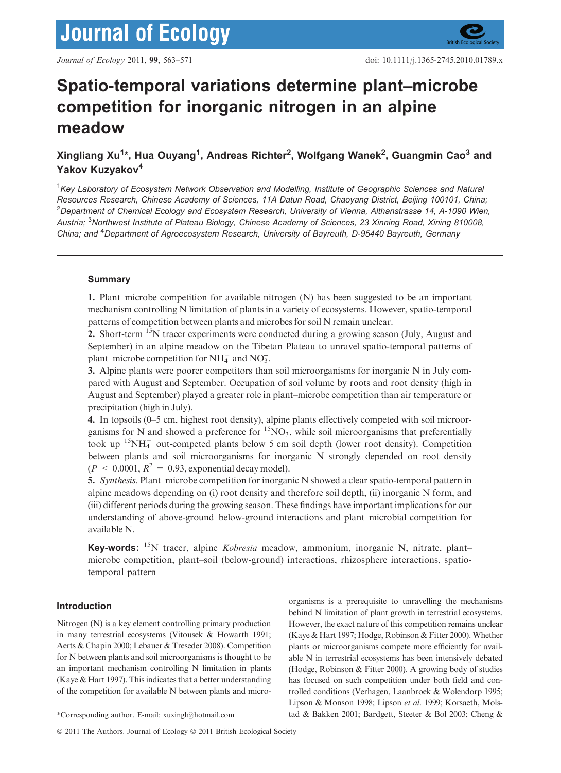# Spatio-temporal variations determine plant–microbe competition for inorganic nitrogen in an alpine meadow

# Xingliang Xu<sup>1</sup>\*, Hua Ouyang<sup>1</sup>, Andreas Richter<sup>2</sup>, Wolfgang Wanek<sup>2</sup>, Guangmin Cao<sup>3</sup> and Yakov Kuzyakov<sup>4</sup>

<sup>1</sup>Key Laboratory of Ecosystem Network Observation and Modelling, Institute of Geographic Sciences and Natural Resources Research, Chinese Academy of Sciences, 11A Datun Road, Chaoyang District, Beijing 100101, China;  $^2$ Department of Chemical Ecology and Ecosystem Research, University of Vienna, Althanstrasse 14, A-1090 Wien, Austria; <sup>3</sup>Northwest Institute of Plateau Biology, Chinese Academy of Sciences, 23 Xinning Road, Xining 810008, China; and <sup>4</sup>Department of Agroecosystem Research, University of Bayreuth, D-95440 Bayreuth, Germany

# Summary

1. Plant–microbe competition for available nitrogen (N) has been suggested to be an important mechanism controlling N limitation of plants in a variety of ecosystems. However, spatio-temporal patterns of competition between plants and microbes for soil N remain unclear.

2. Short-term <sup>15</sup>N tracer experiments were conducted during a growing season (July, August and September) in an alpine meadow on the Tibetan Plateau to unravel spatio-temporal patterns of plant–microbe competition for  $NH_4^+$  and  $NO_3^-$ .

3. Alpine plants were poorer competitors than soil microorganisms for inorganic N in July compared with August and September. Occupation of soil volume by roots and root density (high in August and September) played a greater role in plant–microbe competition than air temperature or precipitation (high in July).

4. In topsoils (0–5 cm, highest root density), alpine plants effectively competed with soil microorganisms for N and showed a preference for  ${}^{15}NO_3^-$ , while soil microorganisms that preferentially took up  $15NH_4^+$  out-competed plants below 5 cm soil depth (lower root density). Competition between plants and soil microorganisms for inorganic N strongly depended on root density  $(P \le 0.0001, R^2 = 0.93$ , exponential decay model).

5. Synthesis. Plant–microbe competition for inorganic N showed a clear spatio-temporal pattern in alpine meadows depending on (i) root density and therefore soil depth, (ii) inorganic N form, and (iii) different periods during the growing season. These findings have important implications for our understanding of above-ground–below-ground interactions and plant–microbial competition for available N.

Key-words: <sup>15</sup>N tracer, alpine *Kobresia* meadow, ammonium, inorganic N, nitrate, plant– microbe competition, plant–soil (below-ground) interactions, rhizosphere interactions, spatiotemporal pattern

# Introduction

Nitrogen (N) is a key element controlling primary production in many terrestrial ecosystems (Vitousek & Howarth 1991; Aerts & Chapin 2000; Lebauer & Treseder 2008). Competition for N between plants and soil microorganisms is thought to be an important mechanism controlling N limitation in plants (Kaye & Hart 1997). This indicates that a better understanding of the competition for available N between plants and micro-

organisms is a prerequisite to unravelling the mechanisms behind N limitation of plant growth in terrestrial ecosystems. However, the exact nature of this competition remains unclear (Kaye & Hart 1997; Hodge, Robinson & Fitter 2000). Whether plants or microorganisms compete more efficiently for available N in terrestrial ecosystems has been intensively debated (Hodge, Robinson & Fitter 2000). A growing body of studies has focused on such competition under both field and controlled conditions (Verhagen, Laanbroek & Wolendorp 1995; Lipson & Monson 1998; Lipson et al. 1999; Korsaeth, Mols- \*Corresponding author. E-mail: xuxingl@hotmail.com tad & Bakken 2001; Bardgett, Steeter & Bol 2003; Cheng &

<sup>© 2011</sup> The Authors. Journal of Ecology © 2011 British Ecological Society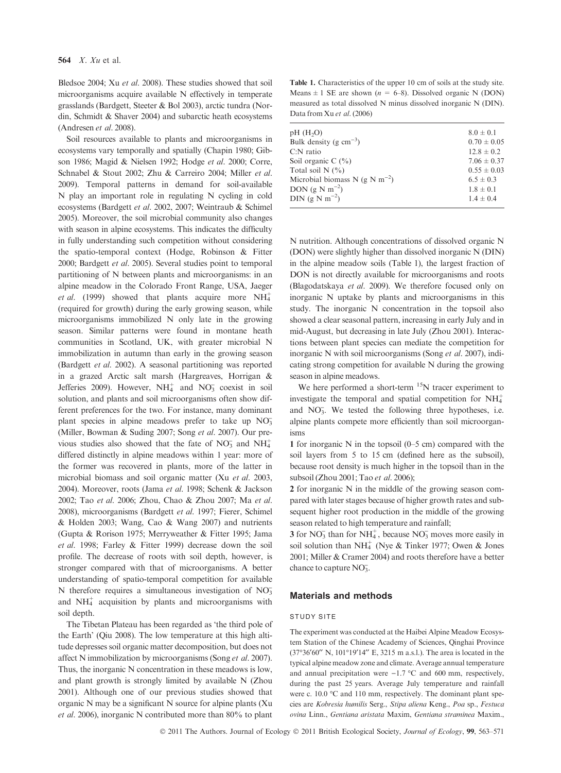Bledsoe 2004; Xu et al. 2008). These studies showed that soil microorganisms acquire available N effectively in temperate grasslands (Bardgett, Steeter & Bol 2003), arctic tundra (Nordin, Schmidt & Shaver 2004) and subarctic heath ecosystems (Andresen et al. 2008).

Soil resources available to plants and microorganisms in ecosystems vary temporally and spatially (Chapin 1980; Gibson 1986; Magid & Nielsen 1992; Hodge et al. 2000; Corre, Schnabel & Stout 2002; Zhu & Carreiro 2004; Miller et al. 2009). Temporal patterns in demand for soil-available N play an important role in regulating N cycling in cold ecosystems (Bardgett et al. 2002, 2007; Weintraub & Schimel 2005). Moreover, the soil microbial community also changes with season in alpine ecosystems. This indicates the difficulty in fully understanding such competition without considering the spatio-temporal context (Hodge, Robinson & Fitter 2000; Bardgett et al. 2005). Several studies point to temporal partitioning of N between plants and microorganisms: in an alpine meadow in the Colorado Front Range, USA, Jaeger et al. (1999) showed that plants acquire more  $NH_4^+$ (required for growth) during the early growing season, while microorganisms immobilized N only late in the growing season. Similar patterns were found in montane heath communities in Scotland, UK, with greater microbial N immobilization in autumn than early in the growing season (Bardgett et al. 2002). A seasonal partitioning was reported in a grazed Arctic salt marsh (Hargreaves, Horrigan & Jefferies 2009). However,  $NH_4^+$  and  $NO_3^-$  coexist in soil solution, and plants and soil microorganisms often show different preferences for the two. For instance, many dominant plant species in alpine meadows prefer to take up NO<sub>3</sub> (Miller, Bowman & Suding 2007; Song et al. 2007). Our previous studies also showed that the fate of  $NO_3^-$  and  $NH_4^+$ differed distinctly in alpine meadows within 1 year: more of the former was recovered in plants, more of the latter in microbial biomass and soil organic matter (Xu et al. 2003, 2004). Moreover, roots (Jama et al. 1998; Schenk & Jackson 2002; Tao et al. 2006; Zhou, Chao & Zhou 2007; Ma et al. 2008), microorganisms (Bardgett et al. 1997; Fierer, Schimel & Holden 2003; Wang, Cao & Wang 2007) and nutrients (Gupta & Rorison 1975; Merryweather & Fitter 1995; Jama et al. 1998; Farley & Fitter 1999) decrease down the soil profile. The decrease of roots with soil depth, however, is stronger compared with that of microorganisms. A better understanding of spatio-temporal competition for available N therefore requires a simultaneous investigation of  $NO<sub>3</sub>$ and  $NH<sub>4</sub><sup>+</sup>$  acquisition by plants and microorganisms with soil depth.

The Tibetan Plateau has been regarded as 'the third pole of the Earth' (Qiu 2008). The low temperature at this high altitude depresses soil organic matter decomposition, but does not affect N immobilization by microorganisms (Song et al. 2007). Thus, the inorganic N concentration in these meadows is low, and plant growth is strongly limited by available N (Zhou 2001). Although one of our previous studies showed that organic N may be a significant N source for alpine plants (Xu et al. 2006), inorganic N contributed more than 80% to plant

Table 1. Characteristics of the upper 10 cm of soils at the study site. Means  $\pm$  1 SE are shown ( $n = 6-8$ ). Dissolved organic N (DON) measured as total dissolved N minus dissolved inorganic N (DIN). Data from Xu et al. (2006)

| pH(H <sub>2</sub> O)<br>$8.0 \pm 0.1$<br>Bulk density (g $cm^{-3}$ )<br>$0.70 \pm 0.05$<br>$12.8 \pm 0.2$<br>$C:N$ ratio<br>Soil organic C $(\% )$<br>Total soil $N(\%)$<br>Microbial biomass N (g N m <sup>-2</sup> )<br>$6.5 \pm 0.3$<br>DON $(g \text{ N m}^{-2})$<br>$1.8 \pm 0.1$<br>DIN (g N m <sup>-2</sup> )<br>$1.4 \pm 0.4$ |                 |
|---------------------------------------------------------------------------------------------------------------------------------------------------------------------------------------------------------------------------------------------------------------------------------------------------------------------------------------|-----------------|
|                                                                                                                                                                                                                                                                                                                                       |                 |
|                                                                                                                                                                                                                                                                                                                                       |                 |
|                                                                                                                                                                                                                                                                                                                                       |                 |
|                                                                                                                                                                                                                                                                                                                                       | $7.06 \pm 0.37$ |
|                                                                                                                                                                                                                                                                                                                                       | $0.55 \pm 0.03$ |
|                                                                                                                                                                                                                                                                                                                                       |                 |
|                                                                                                                                                                                                                                                                                                                                       |                 |
|                                                                                                                                                                                                                                                                                                                                       |                 |

N nutrition. Although concentrations of dissolved organic N (DON) were slightly higher than dissolved inorganic N (DIN) in the alpine meadow soils (Table 1), the largest fraction of DON is not directly available for microorganisms and roots (Blagodatskaya et al. 2009). We therefore focused only on inorganic N uptake by plants and microorganisms in this study. The inorganic N concentration in the topsoil also showed a clear seasonal pattern, increasing in early July and in mid-August, but decreasing in late July (Zhou 2001). Interactions between plant species can mediate the competition for inorganic N with soil microorganisms (Song et al. 2007), indicating strong competition for available N during the growing season in alpine meadows.

We here performed a short-term  $15N$  tracer experiment to investigate the temporal and spatial competition for  $NH_4^+$ and NO<sub>3</sub>. We tested the following three hypotheses, i.e. alpine plants compete more efficiently than soil microorganisms

1 for inorganic N in the topsoil (0–5 cm) compared with the soil layers from 5 to 15 cm (defined here as the subsoil), because root density is much higher in the topsoil than in the subsoil (Zhou 2001; Tao et al. 2006);

2 for inorganic N in the middle of the growing season compared with later stages because of higher growth rates and subsequent higher root production in the middle of the growing season related to high temperature and rainfall;

3 for  $NO_3^-$  than for  $NH_4^+$ , because  $NO_3^-$  moves more easily in soil solution than NH<sup> $+$ </sup> (Nye & Tinker 1977; Owen & Jones 2001; Miller & Cramer 2004) and roots therefore have a better chance to capture  $NO<sub>3</sub>^-$ .

#### Materials and methods

#### STUDY SITE

The experiment was conducted at the Haibei Alpine Meadow Ecosystem Station of the Chinese Academy of Sciences, Qinghai Province  $(37°36'60'' N, 101°19'14'' E, 3215 m a.s.1)$ . The area is located in the typical alpine meadow zone and climate. Average annual temperature and annual precipitation were  $-1.7$  °C and 600 mm, respectively, during the past 25 years. Average July temperature and rainfall were c. 10.0 °C and 110 mm, respectively. The dominant plant species are Kobresia humilis Serg., Stipa aliena Keng., Poa sp., Festuca ovina Linn., Gentiana aristata Maxim, Gentiana straminea Maxim.,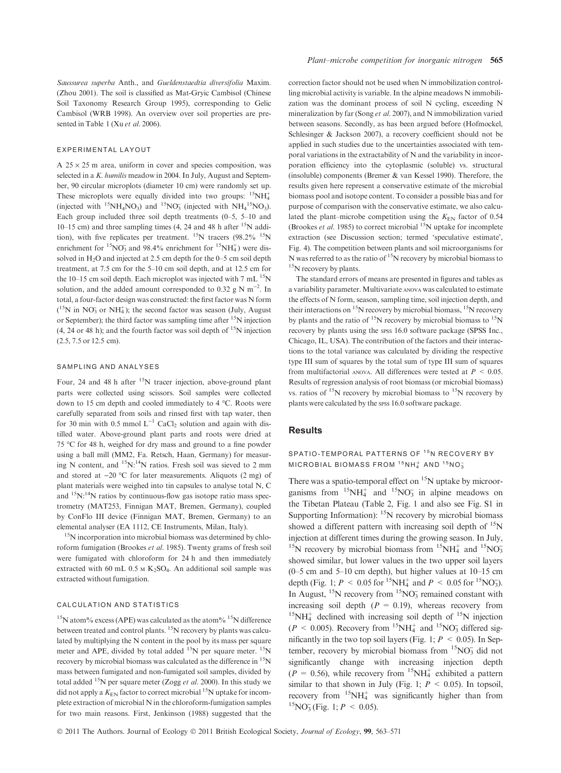Saussurea superba Anth., and Gueldenstaedtia diversifolia Maxim. (Zhou 2001). The soil is classified as Mat-Gryic Cambisol (Chinese Soil Taxonomy Research Group 1995), corresponding to Gelic Cambisol (WRB 1998). An overview over soil properties are presented in Table 1 (Xu et al. 2006).

#### EXPERIMENTAL LAYOUT

A  $25 \times 25$  m area, uniform in cover and species composition, was selected in a K. humilis meadow in 2004. In July, August and September, 90 circular microplots (diameter 10 cm) were randomly set up. These microplots were equally divided into two groups:  ${}^{15}NH_4^+$ (injected with  ${}^{15}NH_4NO_3$ ) and  ${}^{15}NO_3$  (injected with  $NH_4{}^{15}NO_3$ ). Each group included three soil depth treatments (0–5, 5–10 and 10–15 cm) and three sampling times (4, 24 and 48 h after  $15N$  addition), with five replicates per treatment. <sup>15</sup>N tracers (98.2% <sup>15</sup>N enrichment for  ${}^{15}NO_3^-$  and 98.4% enrichment for  ${}^{15}NH_4^+$ ) were dissolved in  $H_2O$  and injected at 2.5 cm depth for the 0–5 cm soil depth treatment, at 7.5 cm for the 5–10 cm soil depth, and at 12.5 cm for the 10–15 cm soil depth. Each microplot was injected with 7 mL  $^{15}$ N solution, and the added amount corresponded to 0.32 g N  $m^{-2}$ . In total, a four-factor design was constructed: the first factor was N form  $(^{15}N$  in NO<sub>3</sub> or NH<sup>+</sup><sub>4</sub>); the second factor was season (July, August or September); the third factor was sampling time after  $15N$  injection  $(4, 24 \text{ or } 48 \text{ h})$ ; and the fourth factor was soil depth of  $15$ N injection (2.5, 7.5 or 12.5 cm).

## SAMPLING AND ANALYSES

Four, 24 and 48 h after <sup>15</sup>N tracer injection, above-ground plant parts were collected using scissors. Soil samples were collected down to 15 cm depth and cooled immediately to 4 °C. Roots were carefully separated from soils and rinsed first with tap water, then for 30 min with 0.5 mmol  $L^{-1}$  CaCl<sub>2</sub> solution and again with distilled water. Above-ground plant parts and roots were dried at 75 °C for 48 h, weighed for dry mass and ground to a fine powder using a ball mill (MM2, Fa. Retsch, Haan, Germany) for measuring N content, and  $15N:14N$  ratios. Fresh soil was sieved to 2 mm and stored at  $-20$  °C for later measurements. Aliquots (2 mg) of plant materials were weighed into tin capsules to analyse total N, C and  $15N:14N$  ratios by continuous-flow gas isotope ratio mass spectrometry (MAT253, Finnigan MAT, Bremen, Germany), coupled by ConFlo III device (Finnigan MAT, Bremen, Germany) to an elemental analyser (EA 1112, CE Instruments, Milan, Italy).

<sup>15</sup>N incorporation into microbial biomass was determined by chloroform fumigation (Brookes et al. 1985). Twenty grams of fresh soil were fumigated with chloroform for 24 h and then immediately extracted with 60 mL  $0.5 \text{ m K}_2$ SO<sub>4</sub>. An additional soil sample was extracted without fumigation.

#### CALCULATION AND STATISTICS

<sup>15</sup>N atom% excess (APE) was calculated as the atom% <sup>15</sup>N difference between treated and control plants. <sup>15</sup>N recovery by plants was calculated by multiplying the N content in the pool by its mass per square meter and APE, divided by total added  $^{15}N$  per square meter.  $^{15}N$ recovery by microbial biomass was calculated as the difference in <sup>15</sup>N mass between fumigated and non-fumigated soil samples, divided by total added <sup>15</sup>N per square meter (Zogg *et al.* 2000). In this study we did not apply a  $K_{EN}$  factor to correct microbial <sup>15</sup>N uptake for incomplete extraction of microbial N in the chloroform-fumigation samples for two main reasons. First, Jenkinson (1988) suggested that the correction factor should not be used when N immobilization controlling microbial activity is variable. In the alpine meadows N immobilization was the dominant process of soil N cycling, exceeding N mineralization by far (Song *et al.* 2007), and N immobilization varied between seasons. Secondly, as has been argued before (Hofmockel, Schlesinger & Jackson 2007), a recovery coefficient should not be applied in such studies due to the uncertainties associated with temporal variations in the extractability of N and the variability in incorporation efficiency into the cytoplasmic (soluble) vs. structural (insoluble) components (Bremer & van Kessel 1990). Therefore, the results given here represent a conservative estimate of the microbial biomass pool and isotope content. To consider a possible bias and for purpose of comparison with the conservative estimate, we also calculated the plant–microbe competition using the  $K_{EN}$  factor of 0.54 (Brookes *et al.* 1985) to correct microbial  $^{15}N$  uptake for incomplete extraction (see Discussion section; termed 'speculative estimate', Fig. 4). The competition between plants and soil microorganisms for N was referred to as the ratio of  $15N$  recovery by microbial biomass to <sup>15</sup>N recovery by plants.

The standard errors of means are presented in figures and tables as a variability parameter. Multivariate anova was calculated to estimate the effects of N form, season, sampling time, soil injection depth, and their interactions on  $15N$  recovery by microbial biomass,  $15N$  recovery by plants and the ratio of  $^{15}N$  recovery by microbial biomass to  $^{15}N$ recovery by plants using the spss 16.0 software package (SPSS Inc., Chicago, IL, USA). The contribution of the factors and their interactions to the total variance was calculated by dividing the respective type III sum of squares by the total sum of type III sum of squares from multifactorial anova. All differences were tested at  $P < 0.05$ . Results of regression analysis of root biomass (or microbial biomass) vs. ratios of  $15N$  recovery by microbial biomass to  $15N$  recovery by plants were calculated by the spss 16.0 software package.

# Results

SPATIO-TEMPORAL PATTERNS OF <sup>15</sup>N RECOVERY BY  $MICROBIAL BIOMASS FROM <sup>15</sup>NH<sub>4</sub><sup>+</sup> AND <sup>15</sup>NO<sub>3</sub><sub>3</sub>$ 

There was a spatio-temporal effect on  $15N$  uptake by microorganisms from  ${}^{15}NH_4^+$  and  ${}^{15}NO_3^-$  in alpine meadows on the Tibetan Plateau (Table 2, Fig. 1 and also see Fig. S1 in Supporting Information):  $15N$  recovery by microbial biomass showed a different pattern with increasing soil depth of  $15N$ injection at different times during the growing season. In July, <sup>15</sup>N recovery by microbial biomass from  $15NH_4^+$  and  $15NO_3^$ showed similar, but lower values in the two upper soil layers (0–5 cm and 5–10 cm depth), but higher values at 10–15 cm depth (Fig. 1;  $P \le 0.05$  for <sup>15</sup>NH<sub>4</sub> and  $P \le 0.05$  for <sup>15</sup>NO<sub>3</sub>). In August,  $15N$  recovery from  $15NO_3^-$  remained constant with increasing soil depth  $(P = 0.19)$ , whereas recovery from  $15NH_4^+$  declined with increasing soil depth of  $15N$  injection  $(P < 0.005)$ . Recovery from <sup>15</sup>NH<sub>4</sub><sup>+</sup> and <sup>15</sup>NO<sub>3</sub> differed significantly in the two top soil layers (Fig. 1;  $P \le 0.05$ ). In September, recovery by microbial biomass from  ${}^{15}NO_3^-$  did not significantly change with increasing injection depth  $(P = 0.56)$ , while recovery from <sup>15</sup>NH<sub>4</sub><sup>+</sup> exhibited a pattern similar to that shown in July (Fig. 1;  $P \leq 0.05$ ). In topsoil, recovery from  ${}^{15}NH_4^+$  was significantly higher than from <sup>15</sup>NO<sub>3</sub> (Fig. 1;  $P \le 0.05$ ).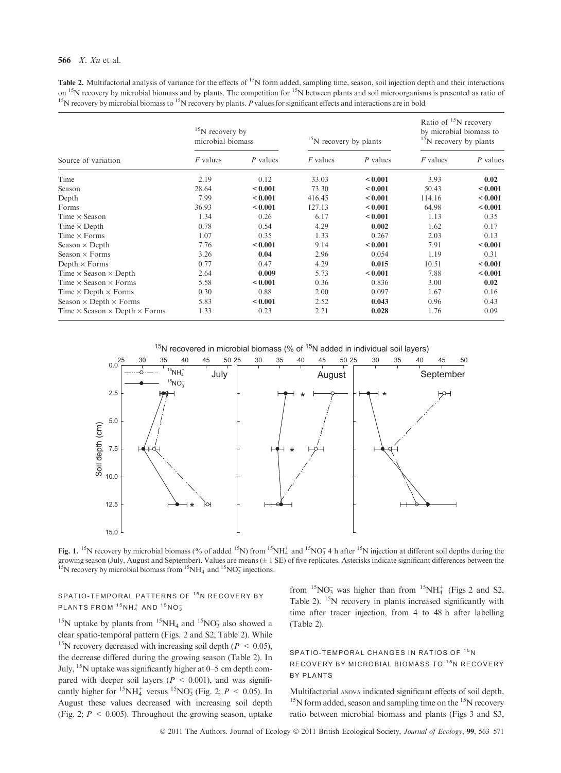#### 566 X. Xu et al.

**Table 2.** Multifactorial analysis of variance for the effects of  $15N$  form added, sampling time, season, soil injection depth and their interactions on <sup>15</sup>N recovery by microbial biomass and by plants. The competition for <sup>15</sup>N between plants and soil microorganisms is presented as ratio of <sup>15</sup>N recovery by microbial biomass to <sup>15</sup>N recovery by plants. P values for significant effects and interactions are in bold

| Source of variation                                | $15$ N recovery by<br>microbial biomass |              | <sup>15</sup> N recovery by plants |              | Ratio of $15N$ recovery<br>by microbial biomass to<br><sup>15</sup> N recovery by plants |              |
|----------------------------------------------------|-----------------------------------------|--------------|------------------------------------|--------------|------------------------------------------------------------------------------------------|--------------|
|                                                    | <i>F</i> values                         | P values     | <i>F</i> values                    | P values     | <i>F</i> values                                                                          | P values     |
| Time                                               | 2.19                                    | 0.12         | 33.03                              | < 0.001      | 3.93                                                                                     | 0.02         |
| Season                                             | 28.64                                   | ${}_{0.001}$ | 73.30                              | ${}_{0.001}$ | 50.43                                                                                    | ${}_{0.001}$ |
| Depth                                              | 7.99                                    | ${}_{0.001}$ | 416.45                             | ${}_{0.001}$ | 114.16                                                                                   | ${}_{0.001}$ |
| Forms                                              | 36.93                                   | ${}_{0.001}$ | 127.13                             | ${}_{0.001}$ | 64.98                                                                                    | < 0.001      |
| Time $\times$ Season                               | 1.34                                    | 0.26         | 6.17                               | ${}_{0.001}$ | 1.13                                                                                     | 0.35         |
| Time $\times$ Depth                                | 0.78                                    | 0.54         | 4.29                               | 0.002        | 1.62                                                                                     | 0.17         |
| Time $\times$ Forms                                | 1.07                                    | 0.35         | 1.33                               | 0.267        | 2.03                                                                                     | 0.13         |
| Season $\times$ Depth                              | 7.76                                    | ${}_{0.001}$ | 9.14                               | ${}_{0.001}$ | 7.91                                                                                     | ${}_{0.001}$ |
| Season $\times$ Forms                              | 3.26                                    | 0.04         | 2.96                               | 0.054        | 1.19                                                                                     | 0.31         |
| Depth $\times$ Forms                               | 0.77                                    | 0.47         | 4.29                               | 0.015        | 10.51                                                                                    | < 0.001      |
| Time $\times$ Season $\times$ Depth                | 2.64                                    | 0.009        | 5.73                               | < 0.001      | 7.88                                                                                     | < 0.001      |
| Time $\times$ Season $\times$ Forms                | 5.58                                    | ${}_{0.001}$ | 0.36                               | 0.836        | 3.00                                                                                     | 0.02         |
| Time $\times$ Depth $\times$ Forms                 | 0.30                                    | 0.88         | 2.00                               | 0.097        | 1.67                                                                                     | 0.16         |
| Season $\times$ Depth $\times$ Forms               | 5.83                                    | ${}_{0.001}$ | 2.52                               | 0.043        | 0.96                                                                                     | 0.43         |
| Time $\times$ Season $\times$ Depth $\times$ Forms | 1.33                                    | 0.23         | 2.21                               | 0.028        | 1.76                                                                                     | 0.09         |

 $15N$  recovered in microbial biomass (% of  $15N$  added in individual soil layers)



Fig. 1. <sup>15</sup>N recovery by microbial biomass (% of added <sup>15</sup>N) from <sup>15</sup>NH<sub>4</sub> and <sup>15</sup>NO<sub>3</sub> 4 h after <sup>15</sup>N injection at different soil depths during the growing season (July, August and September). Values are means (± 1 SE) of five replicates. Asterisks indicate significant differences between the <sup>15</sup>N recovery by microbial biomass from <sup>15</sup>NH<sub>4</sub> and <sup>15</sup>NO<sub>3</sub> injections.

# SPATIO-TEMPORAL PATTERNS OF <sup>15</sup>N RECOVERY BY PLANTS FROM  $15NH_4^+$  AND  $15NO_3^-$

<sup>15</sup>N uptake by plants from <sup>15</sup>NH<sub>4</sub> and <sup>15</sup>NO<sub>3</sub> also showed a clear spatio-temporal pattern (Figs. 2 and S2; Table 2). While <sup>15</sup>N recovery decreased with increasing soil depth ( $P < 0.05$ ), the decrease differed during the growing season (Table 2). In July,  $^{15}N$  uptake was significantly higher at 0–5 cm depth compared with deeper soil layers ( $P < 0.001$ ), and was significantly higher for <sup>15</sup>NH<sub>4</sub><sup>+</sup> versus <sup>15</sup>NO<sub>3</sub> (Fig. 2;  $P < 0.05$ ). In August these values decreased with increasing soil depth (Fig. 2;  $P \le 0.005$ ). Throughout the growing season, uptake

from  ${}^{15}NO_3^-$  was higher than from  ${}^{15}NH_4^+$  (Figs 2 and S2, Table 2). <sup>15</sup>N recovery in plants increased significantly with time after tracer injection, from 4 to 48 h after labelling (Table 2).

# SPATIO-TEMPORAL CHANGES IN RATIOS OF <sup>15</sup>N RECOVERY BY MICROBIAL BIOMASS TO <sup>15</sup>N RECOVERY BY PLANTS

Multifactorial anova indicated significant effects of soil depth,  $15$ N form added, season and sampling time on the  $15$ N recovery ratio between microbial biomass and plants (Figs 3 and S3,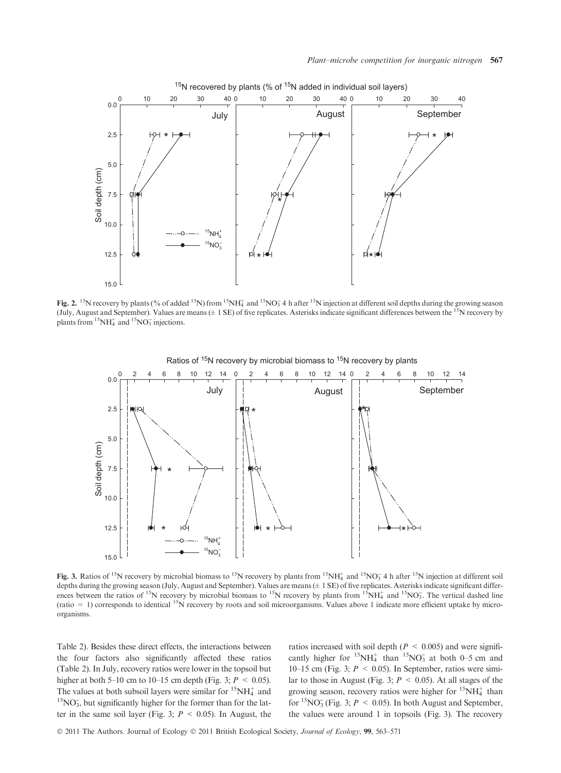

Fig. 2. <sup>15</sup>N recovery by plants (% of added <sup>15</sup>N) from <sup>15</sup>NH<sub>4</sub> and <sup>15</sup>NO<sub>3</sub> 4 h after <sup>15</sup>N injection at different soil depths during the growing season (July, August and September). Values are means  $(\pm 1 \text{ SE})$  of five replicates. Asterisks indicate significant differences between the <sup>15</sup>N recovery by plants from  ${}^{15}NH_4^+$  and  ${}^{15}NO_3^-$  injections.



Fig. 3. Ratios of <sup>15</sup>N recovery by microbial biomass to <sup>15</sup>N recovery by plants from <sup>15</sup>NH<sub>4</sub> and <sup>15</sup>NO<sub>3</sub> 4 h after <sup>15</sup>N injection at different soil depths during the growing season (July, August and September). Values are means ( $\pm$  1 SE) of five replicates. Asterisks indicate significant differences between the ratios of <sup>15</sup>N recovery by microbial biomass to <sup>15</sup>N recovery by plants from  $15NH_4^+$  and  $15NO_3^-$ . The vertical dashed line (ratio  $= 1$ ) corresponds to identical <sup>15</sup>N recovery by roots and soil microorganisms. Values above 1 indicate more efficient uptake by microorganisms.

Table 2). Besides these direct effects, the interactions between the four factors also significantly affected these ratios (Table 2). In July, recovery ratios were lower in the topsoil but higher at both 5–10 cm to 10–15 cm depth (Fig. 3;  $P \le 0.05$ ). The values at both subsoil layers were similar for  ${}^{15}NH_4^+$  and  ${}^{15}NO_3^$ , but significantly higher for the former than for the latter in the same soil layer (Fig. 3;  $P < 0.05$ ). In August, the

ratios increased with soil depth ( $P \leq 0.005$ ) and were significantly higher for  $15NH_4^+$  than  $15NO_3^-$  at both 0–5 cm and 10–15 cm (Fig. 3;  $P \le 0.05$ ). In September, ratios were similar to those in August (Fig. 3;  $P < 0.05$ ). At all stages of the growing season, recovery ratios were higher for  ${}^{15}NH_4^+$  than for  ${}^{15}NO_3^$  (Fig. 3;  $P \le 0.05$ ). In both August and September, the values were around 1 in topsoils (Fig. 3). The recovery

© 2011 The Authors. Journal of Ecology © 2011 British Ecological Society, Journal of Ecology, 99, 563–571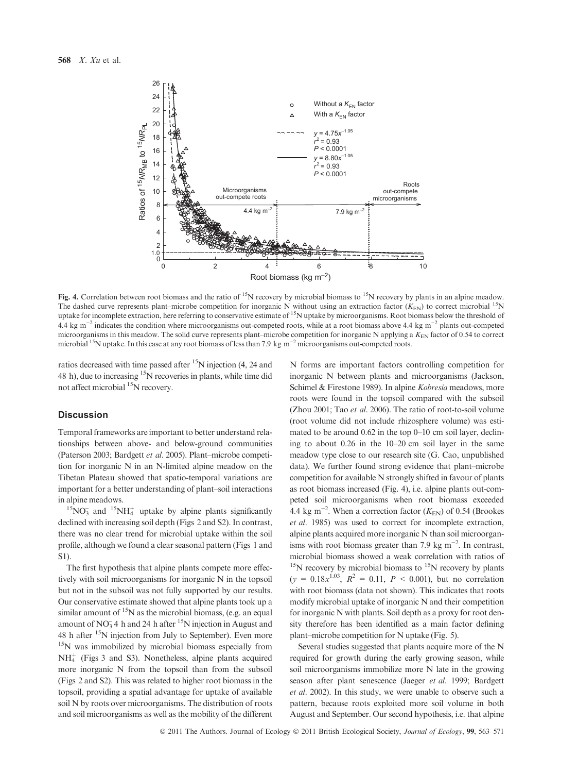

Fig. 4. Correlation between root biomass and the ratio of <sup>15</sup>N recovery by microbial biomass to <sup>15</sup>N recovery by plants in an alpine meadow. The dashed curve represents plant–microbe competition for inorganic N without using an extraction factor ( $K_{\text{EN}}$ ) to correct microbial  $^{15}$ N uptake for incomplete extraction, here referring to conservative estimate of <sup>15</sup>N uptake by microorganisms. Root biomass below the threshold of 4.4 kg m<sup>-2</sup> indicates the condition where microorganisms out-competed roots, while at a root biomass above 4.4 kg m<sup>-2</sup> plants out-competed microorganisms in this meadow. The solid curve represents plant–microbe competition for inorganic N applying a  $K_{EN}$  factor of 0.54 to correct microbial <sup>15</sup>N uptake. In this case at any root biomass of less than 7.9 kg  $m^{-2}$  microorganisms out-competed roots.

ratios decreased with time passed after  $15N$  injection (4, 24 and 48 h), due to increasing 15N recoveries in plants, while time did not affect microbial <sup>15</sup>N recovery.

#### **Discussion**

Temporal frameworks are important to better understand relationships between above- and below-ground communities (Paterson 2003; Bardgett et al. 2005). Plant–microbe competition for inorganic N in an N-limited alpine meadow on the Tibetan Plateau showed that spatio-temporal variations are important for a better understanding of plant–soil interactions in alpine meadows.

 $^{15}$ NO<sub>3</sub> and  $^{15}$ NH<sub>4</sub><sup>+</sup> uptake by alpine plants significantly declined with increasing soil depth (Figs 2 and S2). In contrast, there was no clear trend for microbial uptake within the soil profile, although we found a clear seasonal pattern (Figs 1 and S1).

The first hypothesis that alpine plants compete more effectively with soil microorganisms for inorganic N in the topsoil but not in the subsoil was not fully supported by our results. Our conservative estimate showed that alpine plants took up a similar amount of  $15N$  as the microbial biomass, (e.g. an equal amount of  $NO_3^-$  4 h and 24 h after <sup>15</sup>N injection in August and 48 h after  $15N$  injection from July to September). Even more 15N was immobilized by microbial biomass especially from NH4 <sup>+</sup> (Figs 3 and S3). Nonetheless, alpine plants acquired more inorganic N from the topsoil than from the subsoil (Figs 2 and S2). This was related to higher root biomass in the topsoil, providing a spatial advantage for uptake of available soil N by roots over microorganisms. The distribution of roots and soil microorganisms as well as the mobility of the different N forms are important factors controlling competition for inorganic N between plants and microorganisms (Jackson, Schimel & Firestone 1989). In alpine *Kobresia* meadows, more roots were found in the topsoil compared with the subsoil (Zhou 2001; Tao et al. 2006). The ratio of root-to-soil volume (root volume did not include rhizosphere volume) was estimated to be around 0.62 in the top 0–10 cm soil layer, declining to about 0.26 in the 10–20 cm soil layer in the same meadow type close to our research site (G. Cao, unpublished data). We further found strong evidence that plant–microbe competition for available N strongly shifted in favour of plants as root biomass increased (Fig. 4), i.e. alpine plants out-competed soil microorganisms when root biomass exceeded 4.4 kg m<sup>-2</sup>. When a correction factor  $(K_{EN})$  of 0.54 (Brookes et al. 1985) was used to correct for incomplete extraction, alpine plants acquired more inorganic N than soil microorganisms with root biomass greater than 7.9 kg  $m^{-2}$ . In contrast, microbial biomass showed a weak correlation with ratios of  $15$ N recovery by microbial biomass to  $15$ N recovery by plants  $(y = 0.18x^{1.03}, R^2 = 0.11, P < 0.001)$ , but no correlation with root biomass (data not shown). This indicates that roots modify microbial uptake of inorganic N and their competition for inorganic N with plants. Soil depth as a proxy for root density therefore has been identified as a main factor defining plant–microbe competition for N uptake (Fig. 5).

Several studies suggested that plants acquire more of the N required for growth during the early growing season, while soil microorganisms immobilize more N late in the growing season after plant senescence (Jaeger et al. 1999; Bardgett et al. 2002). In this study, we were unable to observe such a pattern, because roots exploited more soil volume in both August and September. Our second hypothesis, i.e. that alpine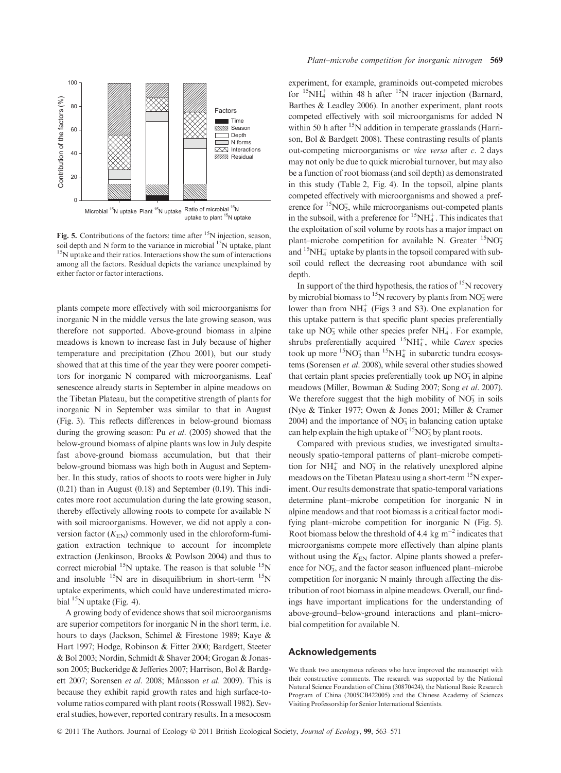

Fig. 5. Contributions of the factors: time after  $\mathrm{^{15}N}$  injection, season, soil depth and N form to the variance in microbial  $^{15}N$  uptake, plant  $15N$  uptake and their ratios. Interactions show the sum of interactions among all the factors. Residual depicts the variance unexplained by either factor or factor interactions.

plants compete more effectively with soil microorganisms for inorganic N in the middle versus the late growing season, was therefore not supported. Above-ground biomass in alpine meadows is known to increase fast in July because of higher temperature and precipitation (Zhou 2001), but our study showed that at this time of the year they were poorer competitors for inorganic N compared with microorganisms. Leaf senescence already starts in September in alpine meadows on the Tibetan Plateau, but the competitive strength of plants for inorganic N in September was similar to that in August (Fig. 3). This reflects differences in below-ground biomass during the growing season: Pu et al. (2005) showed that the below-ground biomass of alpine plants was low in July despite fast above-ground biomass accumulation, but that their below-ground biomass was high both in August and September. In this study, ratios of shoots to roots were higher in July (0.21) than in August (0.18) and September (0.19). This indicates more root accumulation during the late growing season, thereby effectively allowing roots to compete for available N with soil microorganisms. However, we did not apply a conversion factor  $(K_{EN})$  commonly used in the chloroform-fumigation extraction technique to account for incomplete extraction (Jenkinson, Brooks & Powlson 2004) and thus to correct microbial  $^{15}N$  uptake. The reason is that soluble  $^{15}N$ and insoluble  $15N$  are in disequilibrium in short-term  $15N$ uptake experiments, which could have underestimated microbial  $^{15}N$  uptake (Fig. 4).

A growing body of evidence shows that soil microorganisms are superior competitors for inorganic N in the short term, i.e. hours to days (Jackson, Schimel & Firestone 1989; Kaye & Hart 1997; Hodge, Robinson & Fitter 2000; Bardgett, Steeter & Bol 2003; Nordin, Schmidt & Shaver 2004; Grogan & Jonasson 2005; Buckeridge & Jefferies 2007; Harrison, Bol & Bardgett 2007; Sorensen et al. 2008; Månsson et al. 2009). This is because they exhibit rapid growth rates and high surface-tovolume ratios compared with plant roots (Rosswall 1982). Several studies, however, reported contrary results. In a mesocosm experiment, for example, graminoids out-competed microbes for  ${}^{15}NH_4^+$  within 48 h after  ${}^{15}N$  tracer injection (Barnard, Barthes & Leadley 2006). In another experiment, plant roots competed effectively with soil microorganisms for added N within 50 h after  $15N$  addition in temperate grasslands (Harrison, Bol & Bardgett 2008). These contrasting results of plants out-competing microorganisms or vice versa after c. 2 days may not only be due to quick microbial turnover, but may also be a function of root biomass (and soil depth) as demonstrated in this study (Table 2, Fig. 4). In the topsoil, alpine plants competed effectively with microorganisms and showed a preference for  ${}^{15}NO_3$ , while microorganisms out-competed plants in the subsoil, with a preference for  ${}^{15}NH_4^+$ . This indicates that the exploitation of soil volume by roots has a major impact on plant–microbe competition for available N. Greater  ${}^{15}NO_3$ and  $15NH_4^+$  uptake by plants in the topsoil compared with subsoil could reflect the decreasing root abundance with soil depth.

In support of the third hypothesis, the ratios of  $15N$  recovery by microbial biomass to <sup>15</sup>N recovery by plants from  $NO_3^-$  were lower than from NH<sub>4</sub><sup>+</sup> (Figs 3 and S3). One explanation for this uptake pattern is that specific plant species preferentially take up  $NO_3^-$  while other species prefer  $NH_4^+$ . For example, shrubs preferentially acquired  ${}^{15}NH_4^+$ , while Carex species took up more  ${}^{15}NO_3^-$  than  ${}^{15}NH_4^+$  in subarctic tundra ecosystems (Sorensen et al. 2008), while several other studies showed that certain plant species preferentially took up  $NO<sub>3</sub>$  in alpine meadows (Miller, Bowman & Suding 2007; Song et al. 2007). We therefore suggest that the high mobility of  $NO<sub>3</sub>$  in soils (Nye & Tinker 1977; Owen & Jones 2001; Miller & Cramer 2004) and the importance of  $NO<sub>3</sub>$  in balancing cation uptake can help explain the high uptake of  ${}^{15}NO_3^-$  by plant roots.

Compared with previous studies, we investigated simultaneously spatio-temporal patterns of plant–microbe competition for  $NH_4^+$  and  $NO_3^-$  in the relatively unexplored alpine meadows on the Tibetan Plateau using a short-term  $15N$  experiment. Our results demonstrate that spatio-temporal variations determine plant–microbe competition for inorganic N in alpine meadows and that root biomass is a critical factor modifying plant–microbe competition for inorganic N (Fig. 5). Root biomass below the threshold of 4.4 kg  $m^{-2}$  indicates that microorganisms compete more effectively than alpine plants without using the  $K_{EN}$  factor. Alpine plants showed a preference for NO<sub>3</sub>, and the factor season influenced plant–microbe competition for inorganic N mainly through affecting the distribution of root biomass in alpine meadows. Overall, our findings have important implications for the understanding of above-ground–below-ground interactions and plant–microbial competition for available N.

### Acknowledgements

We thank two anonymous referees who have improved the manuscript with their constructive comments. The research was supported by the National Natural Science Foundation of China (30870424), the National Basic Research Program of China (2005CB422005) and the Chinese Academy of Sciences Visiting Professorship for Senior International Scientists.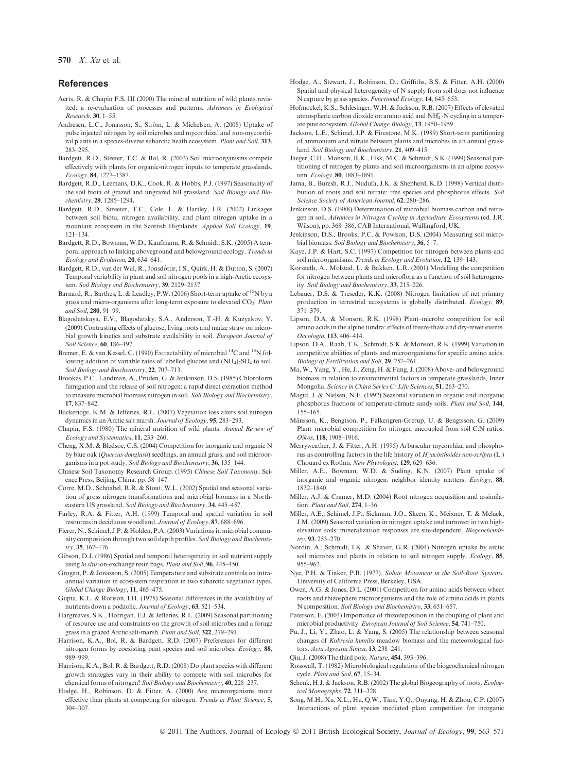570 X. Xu et al.

#### References

- Aerts, R. & Chapin F.S. III (2000) The mineral nutrition of wild plants revisited: a re-evaluation of processes and patterns. Advances in Ecological Research, 30, 1–55.
- Andresen, L.C., Jonasson, S., Ström, L. & Michelsen, A. (2008) Uptake of pulse injected nitrogen by soil microbes and mycorrhizal and non-mycorrhizal plants in a species-diverse subarctic heath ecosystem. Plant and Soil, 313, 283–295.
- Bardgett, R.D., Steeter, T.C. & Bol, R. (2003) Soil microorganisms compete effectively with plants for organic-nitrogen inputs to temperate grasslands. Ecology, 84, 1277–1387.
- Bardgett, R.D., Leemans, D.K., Cook, R. & Hobbs, P.J. (1997) Seasonality of the soil biota of grazed and ungrazed hill grassland. Soil Biology and Biochemistry, 29, 1285–1294.
- Bardgett, R.D., Streeter, T.C., Cole, L. & Hartley, I.R. (2002) Linkages between soil biota, nitrogen availability, and plant nitrogen uptake in a mountain ecosystem in the Scottish Highlands. Applied Soil Ecology, 19, 121–134.
- Bardgett, R.D., Bowman, W.D., Kaufmann, R. & Schmidt, S.K. (2005) A temporal approach to linking aboveground and belowground ecology. Trends in Ecology and Evolution, 20, 634–641.
- Bardgett, R.D., van der Wal, R., Jónsdóttir, I.S., Quirk, H. & Dutton, S. (2007) Temporal variability in plant and soil nitrogen pools in a high-Arctic ecosystem. Soil Biology and Biochemistry, 39, 2129-2137.
- Barnard, R., Barthes, L. & Leadley, P.W. (2006) Short-term uptake of  $^{15}N$  by a grass and micro-organisms after long-term exposure to elevated  $CO<sub>2</sub>$ . Plant and Soil, 280, 91–99.
- Blagodatskaya, E.V., Blagodatsky, S.A., Anderson, T.-H. & Kuzyakov, Y. (2009) Contrasting effects of glucose, living roots and maize straw on microbial growth kinetics and substrate availability in soil. European Journal of Soil Science, 60, 186–197.
- Bremer, E. & van Kessel, C. (1990) Extractability of microbial <sup>14</sup>C and <sup>15</sup>N following addition of variable rates of labelled glucose and  $(NH_4)_2SO_4$  to soil. Soil Biology and Biochemistry, 22, 707–713.
- Brookes, P.C., Landman, A., Pruden, G. & Jenkinson, D.S. (1985) Chloroform fumigation and the release of soil nitrogen: a rapid direct extraction method to measure microbial biomass nitrogen in soil. Soil Biology and Biochemistry, 17, 837–842.
- Buckeridge, K.M. & Jefferies, R.L. (2007) Vegetation loss alters soil nitrogen dynamics in an Arctic salt marsh. Journal of Ecology, 95, 283–293.
- Chapin, F.S. (1980) The mineral nutrition of wild plants. Annual Review of Ecology and Systematics, 11, 233–260.
- Cheng, X.M. & Bledsoe, C.S. (2004) Competition for inorganic and organic N by blue oak (Quercus douglasii) seedlings, an annual grass, and soil microorganisms in a pot study. Soil Biology and Biochemistry, 36, 135–144.
- Chinese Soil Taxonomy Research Group. (1995) Chinese Soil Taxonomy. Science Press, Beijing, China. pp. 58–147.
- Corre, M.D., Schnabel, R.R. & Stout, W.L. (2002) Spatial and seasonal variation of gross nitrogen transformations and microbial biomass in a Northeastern US grassland. Soil Biology and Biochemistry, 34, 445–457.
- Farley, R.A. & Fitter, A.H. (1999) Temporal and spatial variation in soil resources in deciduous woodland. Journal of Ecology, 87, 688–696.
- Fierer, N., Schimel, J.P. & Holden, P.A. (2003) Variations in microbial community composition through two soil depth profiles. Soil Biology and Biochemistry, 35, 167–176.
- Gibson, D.J. (1986) Spatial and temporal heterogeneity in soil nutrient supply using in situ ion-exchange resin bags. Plant and Soil, 96, 445–450.
- Grogan, P. & Jonasson, S. (2005) Temperature and substrate controls on intraannual variation in ecosystem respiration in two subarctic vegetation types. Global Change Biology, 11, 465–475.
- Gupta, K.L. & Rorison, I.H. (1975) Seasonal differences in the availability of nutrients down a podzolic. Journal of Ecology, 63, 521–534.
- Hargreaves, S.K., Horrigan, E.J. & Jefferies, R.L. (2009) Seasonal partitioning of resource use and constraints on the growth of soil microbes and a forage grass in a grazed Arctic salt-marsh. Plant and Soil, 322, 279–291.
- Harrison, K.A., Bol, R. & Bardgett, R.D. (2007) Preferences for different nitrogen forms by coexisting pant species and soil microbes. Ecology, 88, 989–999.
- Harrison, K.A., Bol, R. & Bardgett, R.D. (2008) Do plant species with different growth strategies vary in their ability to compete with soil microbes for chemical forms of nitrogen? Soil Biology and Biochemistry, 40, 228–237.
- Hodge, H., Robinson, D. & Fitter, A. (2000) Are microorganisms more effective than plants at competing for nitrogen. Trends in Plant Science, 5, 304–307.
- Hodge, A., Stewart, J., Robinson, D., Griffiths, B.S. & Fitter, A.H. (2000) Spatial and physical heterogeneity of N supply from soil does not influence N capture by grass species. Functional Ecology, 14, 645–653.
- Hofmockel, K.S., Schlesinger, W.H. & Jackson, R.B. (2007) Effects of elevated atmospheric carbon dioxide on amino acid and  $NH<sub>4</sub><sup>+</sup>-N$  cycling in a temperate pine ecosystem. Global Change Biology, 13, 1950–1959.
- Jackson, L.E., Schimel, J.P. & Firestone, M.K. (1989) Short-term partitioning of ammonium and nitrate between plants and microbes in an annual grassland. Soil Biology and Biochemistry, 21, 409–415.
- Jaeger, C.H., Monson, R.K., Fisk, M.C. & Schmidt, S.K. (1999) Seasonal partitioning of nitrogen by plants and soil microorganisms in an alpine ecosystem. Ecology, 80, 1883–1891.
- Jama, B., Buresh, R.J., Nudufa, J.K. & Shepherd, K.D. (1998) Vertical distribution of roots and soil nitrate: tree species and phosphorus effects. Soil Science Society of American Journal, 62, 280-286.
- Jenkinson, D.S. (1988) Determination of microbial biomass carbon and nitrogen in soil. Advances in Nitrogen Cycling in Agriculture Ecosystems (ed. J.R. Wilson), pp. 368–386, CAB International, Wallingford, UK.
- Jenkinson, D.S., Brooks, P.C. & Powlson, D.S. (2004) Measuring soil microbial biomass. Soil Biology and Biochemistry, 36, 5–7.
- Kaye, J.P. & Hart, S.C. (1997) Competition for nitrogen between plants and soil microorganisms. Trends in Ecology and Evolution, 12, 139–143.
- Korsaeth, A., Molstad, L. & Bakken, L.R. (2001) Modelling the competition for nitrogen between plants and microflora as a function of soil heterogeneity. Soil Biology and Biochemistry, 33, 215–226.
- Lebauer, D.S. & Treseder, K.K. (2008) Nitrogen limitation of net primary production in terrestrial ecosystems is globally distributed. Ecology, 89, 371–379.
- Lipson, D.A. & Monson, R.K. (1998) Plant–microbe competition for soil amino acids in the alpine tundra: effects of freeze-thaw and dry-rewet events. Oecologia, 113, 406–414.
- Lipson, D.A., Raab, T.K., Schmidt, S.K. & Monson, R.K. (1999) Variation in competitive abilities of plants and microorganisms for specific amino acids. Biology of Fertilization and Soil, 29, 257–261.
- Ma, W., Yang, Y., He, J., Zeng, H. & Fang, J. (2008) Above- and belowground biomass in relation to environmental factors in temperate grasslands, Inner Mongolia. Science in China Series C: Life Sciences, 51, 263–270.
- Magid, J. & Nielsen, N.E. (1992) Seasonal variation in organic and inorganic phosphorus fractions of temperate-climate sandy soils. Plant and Soil, 144, 155–165.
- Månsson, K., Bengtson, P., Falkengren-Grerup, U. & Bengtsson, G. (2009) Plant–microbial competition for nitrogen uncoupled from soil C:N ratios. Oikos, 118, 1908–1916.
- Merryweather, J. & Fitter, A.H. (1995) Arbuscular mycorrhiza and phosphorus as controlling factors in the life history of Hyacinthoides non-scripta (L.) Chouard ex Rothm. New Phytologist, 129, 629–636.
- Miller, A.E., Bowman, W.D. & Suding, K.N. (2007) Plant uptake of inorganic and organic nitrogen: neighbor identity matters. Ecology, 88, 1832–1840.
- Miller, A.J. & Cramer, M.D. (2004) Root nitrogen acquisition and assimilation. Plant and Soil, 274, 1–36.
- Miller, A.E., Schimel, J.P., Sickman, J.O., Skeen, K., Meixner, T. & Melack, J.M. (2009) Seasonal variation in nitrogen uptake and turnover in two highelevation soils: mineralization responses are site-dependent. Biogeochemistry, 93, 253–270.
- Nordin, A., Schmidt, I.K. & Shaver, G.R. (2004) Nitrogen uptake by arctic soil microbes and plants in relation to soil nitrogen supply. Ecology, 85, 955–962.
- Nye, P.H. & Tinker, P.B. (1977). Solute Movement in the Soil-Root Systems. University of California Press, Berkeley, USA.
- Owen, A.G. & Jones, D.L. (2001) Competition for amino acids between wheat roots and rhizosphere microorganisms and the role of amino acids in plants N composition. Soil Biology and Biochemistry, 33, 651–657.
- Paterson, E. (2003) Importance of rhizodeposition in the coupling of plant and microbial productivity. European Journal of Soil Science, 54, 741–750.
- Pu, J., Li, Y., Zhao, L. & Yang, S. (2005) The relationship between seasonal changes of Kobresia humilis meadow biomass and the meteorological factors. Acta Agrestia Sinica, 13, 238–241.
- Qiu, J. (2008) The third pole. Nature, 454, 393–396.
- Rosswall, T. (1982) Microbiological regulation of the biogeochemical nitrogen cycle. Plant and Soil, 67, 15–34.
- Schenk, H.J. & Jackson, R.B. (2002) The global Biogeography of roots. Ecological Monogrsphs, 72, 311–328.
- Song, M.H., Xu, X.L., Hu, Q.W., Tian, Y.Q., Ouyang, H. & Zhou, C.P. (2007) Interactions of plant species mediated plant competition for inorganic